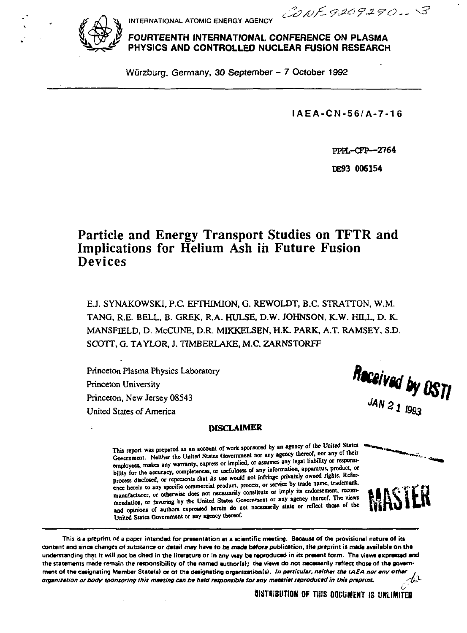CONF-9209290 .. 3



**INTERNATIONAL ATOMIC ENERGY AGENCY** 

**FOURTEENTH INTERNATIONAL CONFERENCE ON PLASMA PHYSICS AND CONTROLLED NUCLEAR FUSION RESEARCH** 

**Wiirzburg. Germany, 30 September - 7 October 1992** 

**IAEA-CN-56/A-7-16** 

**PEEL-CFP—2764** 

**DE93 006154** 

## Particle and Energy Transport Studies on TFTR and Implications for Helium Ash in Future Fusion Devices

**E.J. SYNAKOWSKI, P.C. EFTHIMION, G. REWOLDT, B.C. STRATTON, W.M. TANG, R.E. BELL, B. GREK, R.A. HULSE, D.W. JOHNSON, K.W. HILL, D. K. MANSFIELD, D. McCUNE, D.R. MIKKELSEN, H.K. PARK, A.T. RAMSEY, S.D. SCOTT, G. TAYLOR, J. TTMBERLAKE, M.C. ZARNSTORFF** 

**Princeton Plasma Physics Laboratory Princeton University Princeton, New Jersey 08543** *May* **2008** United States of America *I* 1993

## **DISCLAIMER**

This report was prepared as an account of work sponsored by an agency of the United States Government. Neither the United States Government nor any agency thereof, nor any of their employees, makes any warranty, express or implied, or assumes any legal liability or responsibility for the accuracy, completeness, or usefulness of any information, apparatus, product, or process disclosed, or represents that its use would not infringe privately owned rights. Reference herein to any specific commercial product, process, or service by trade name, trademark, manufacturer, or otherwise does not necessarily constitute or imply its endorsement, recommendation, or favoring by the United States Government or any agency thereof. The views and opinions of authors expressed herein do not necessarily state or reflect those of the **United Stales Government or any agency thereof.** 

**This is a preprint of a paper intended for presentation at a scientific meeting. Because of the provisional nature of its**  content and since changes of substance or detail may have to be made before publication, the preprint is made available on the **understanding that it will not be cited in the literature or in any way be reproduced in itt present form. The views expressed end**  the statements made remain the responsibility of the named author(s); the views do not necessarily reflect those of the govern**ment of the designating Member State(s) or of the designating organizationfsi.** *In particular, neither the IAEA nor any other ,*  organization or body sponsoring this meeting can be held responsible for any material reproduced in this preprint.

**UlSTRiBUTION OF THIS DOCUMENT IS UNLIMITED**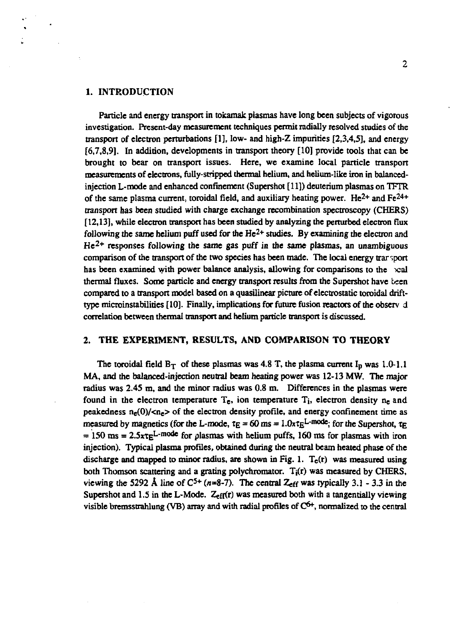## **1. INTRODUCTION**

**Particle and energy transport in tokamak plasmas have long been subjects of vigorous investigation. Present-day measurement techniques permit radially resolved studies of the transport of electron perturbations [1], low- and high-Z impurities [2,3,4,5], and energy [6,7,8,9]. In addition, developments in transport theory [10] provide tools that can be brought to bear on transport issues. Here, we examine local particle transport measurements of electrons, fully-stripped thermal helium, and helium-like iron in balancedinjection L-mode and enhanced confinement (Supershot [11]) deuterium plasmas on TFTR of the same plasma current, toroidal field, and auxiliary heating power. He<sup>2+</sup> and Fe<sup>24+</sup> transport has been studied with charge exchange recombination spectroscopy (CHERS) [12,13], while electron transport has been studied by analyzing the perturbed electron flux**  following the same helium puff used for the He<sup>2+</sup> studies. By examining the electron and **H e <sup>2</sup> <sup>+</sup> responses following the same gas puff in the same plasmas, an unambiguous comparison of the transport of the two species has been made. The local energy trar sport**  has been examined with power balance analysis, allowing for comparisons to the **cal thermal fluxes. Some particle and energy transport results from the Supershot have been compared to a transport model based on a quasilinear picture of electrostatic toroidal drifttype microinstabilities [10]. Finally, implications for future fusion reactors of the observ d correlation between thermal transport and helium particle transport is discussed.** 

## **2. THE EXPERIMENT, RESULTS, AND COMPARISON TO THEORY**

The toroidal field  $B_T$  of these plasmas was 4.8 T, the plasma current  $I_p$  was 1.0-1.1 **MA, and the balanced-injection neutral beam heating power was 12-13 MW. The major radius was 2.45 m, and the minor radius was 0.8 m. Differences in the plasmas were found in the electron temperature T<sup>e</sup> , ion temperature Tj, electron density n<sup>e</sup> and**  peakedness  $n_e(0)/n_e$  of the electron density profile, and energy confinement time as measured by magnetics (for the L-mode,  $\tau_E = 60$  ms =  $1.0x\tau_E$ <sup>L-mode</sup>; for the Supershot,  $\tau_E$  $= 150$  ms  $= 2.5$ xt<sub>E</sub><sup>L-mode</sup> for plasmas with helium puffs, 160 ms for plasmas with iron **injection). Typical plasma profiles, obtained during the neutral beam heated phase of the discharge and mapped to minor radius, are shown in Fig. 1. Te(r) was measured using both Thomson scattering and a grating polychromator. Tj(r) was measured by CHERS,**  viewing the 5292 Å line of  $C^{5+}$  ( $n=8-7$ ). The central  $Z_{eff}$  was typically 3.1 - 3.3 in the Supershot and  $1.5$  in the L-Mode.  $Z_{eff}(r)$  was measured both with a tangentially viewing **visible bremsstrahlung (VB) array and with radial profiles of C64", normalized to the central**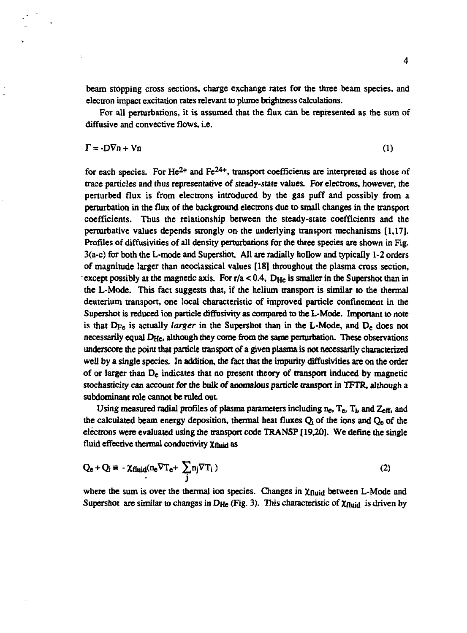**beam stopping cross sections, charge exchange rates for the three beam species, and electron impact excitation rates relevant to plume brightness calculations.** 

**For all perturbations, it is assumed that the flux can be represented as the sum of diffusive and convective flows, i.e.** 

$$
\Gamma = -D\nabla n + \nabla n \tag{1}
$$

for each species. For He<sup>2+</sup> and Fe<sup>24+</sup>, transport coefficients are interpreted as those of **trace particles and thus representative of steady-state values. For electrons, however, the perturbed flux is from electrons introduced by the gas puff and possibly from a perturbation in the flux of the background electrons due to small changes in the transport coefficients. Thus the relationship between the steady-state coefficients and the perturbative values depends strongly on the underlying transport mechanisms [1,17].**  Profiles of diffusivities of all density perturbations for the three species are shown in Fig. **3(a-c) for both the L-mode and Supershot All are radially hollow and typically 1-2 orders of magnitude larger than neoclassical values [18] throughout the plasma cross section,**  except possibly at the magnetic axis. For  $r/a < 0.4$ , D<sub>He</sub> is smaller in the Supershot than in **the L-Mode. This fact suggests that, if the helium transport is similar to the thermal deuterium transport, one local characteristic of improved particle confinement in the Supershot is reduced ion particle diffusivity as compared to the L-Mode. Important to note**  is that  $D_{Fe}$  is actually *larger* in the Supershot than in the L-Mode, and  $D_e$  does not **necessarily equal Due. although they come from the same perturbation. These observations underscore the point that particle transport of a given plasma is not necessarily characterized well by a single species. In addition, the fact that the impurity diffusivities are on the order**  of or larger than D<sub>e</sub> indicates that no present theory of transport induced by magnetic **stochasticity can account for the bulk of anomalous particle transport in TFTR, although a subdominant role cannot be ruled out** 

**Using measured radial profiles of plasma parameters including ne, T<sup>e</sup> , Tj, and Zeff, and the calculated beam energy deposition, thermal heat fluxes Qj of the ions and Q<sup>e</sup> of the electrons were evaluated using the transport code TRANSP [19,20], We define the single**  fluid effective thermal conductivity  $\chi_{\text{fluid}}$  as

$$
Q_{\mathbf{c}} + Q_{j} = -\chi_{\text{fluid}}(n_{\mathbf{c}} \nabla T_{\mathbf{c}} + \sum_{j} n_{j} \nabla T_{i})
$$
\n(2)

where the sum is over the thermal ion species. Changes in  $\chi_{\text{fluid}}$  between L-Mode and Supershot are similar to changes in D<sub>He</sub> (Fig. 3). This characteristic of  $\chi_{fluid}$  is driven by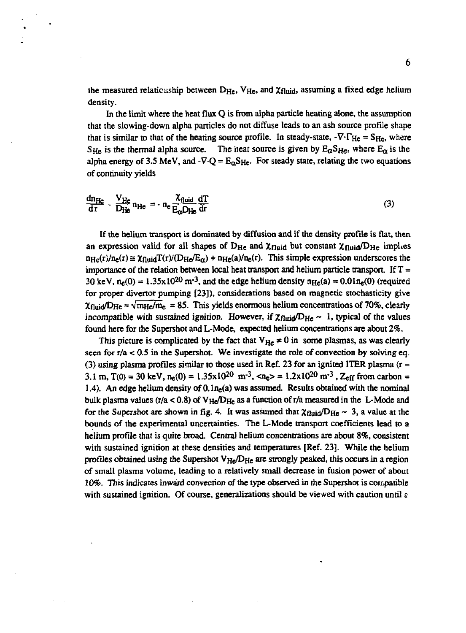the measured relationship between D<sub>He</sub>, V<sub>He</sub>, and X<sub>fluid</sub>, assuming a fixed edge helium **density.** 

**In the limit where the heat flux Q is from alpha particle heating alone, the assumption that the slowing-down alpha particles do not diffuse leads to an ash source profile shape**  that is similar to that of the heating source profile. In steady-state,  $\cdot \nabla \cdot \Gamma_{\text{He}} = S_{\text{He}}$ , where S<sub>He</sub> is the thermal alpha source. The heat source is given by  $E_{\alpha}S_{He}$ , where  $E_{\alpha}$  is the alpha energy of 3.5 MeV, and  $-\nabla Q = E_{\alpha} S_{\text{He}}$ . For steady state, relating the two equations **of continuity yields** 

$$
\frac{dn_{He}}{dr} - \frac{V_{He}}{D_{He}} n_{He} = - n_e \frac{\chi_{fluid}}{E_{\alpha} D_{He}} \frac{dT}{dr}
$$
 (3)

**If the helium transport is dominated by diffusion and if the density profile is flat, then**  an expression valid for all shapes of  $D_{He}$  and  $\chi_{fluid}$  but constant  $\chi_{fluid}/D_{He}$  implies  $n_{He}(r)/n_e(r) \approx \chi_{fluid}T(r)/(D_{He}/E_{\alpha}) + n_{He}(a)/n_e(r)$ . This simple expression underscores the **importance of the relation between local heat transport and helium particle transport. If T =**  30 keV,  $n_e(0) = 1.35x10^{20}$  m<sup>-3</sup>, and the edge helium density  $n_{He}(a) = 0.01n_e(0)$  (required **for proper divertor pumping [23]), considerations based on magnetic stochasticity give**   $\chi_{fluid}/D_{He} \approx \sqrt{m_{He}/m_e}$  = 85. This yields enormous helium concentrations of 70%, clearly incompatible with sustained ignition. However, if  $\chi_{\text{fluid}}/D_{\text{He}} \sim 1$ , typical of the values **found here for the Supershot and L-Mode, expected helium concentrations are about 2%.** 

This picture is complicated by the fact that  $V_{He} \neq 0$  in some plasmas, as was clearly seen for  $r/a < 0.5$  in the Supershot. We investigate the role of convection by solving eq. **(3) using plasma profiles similar to those used in Ref. 23 for an ignited ITER plasma (r =**   $3.1 \text{ m}$ ,  $T(0) = 30 \text{ keV}$ ,  $n_e(0) = 1.35 \times 10^{20} \text{ m}^3$ ,  $\langle n_e \rangle = 1.2 \times 10^{20} \text{ m}^3$ ,  $Z_{eff}$  from carbon = **1.4). An edge helium density of 0. lne(a) was assumed. Results obtained with the nominal**  bulk plasma values  $(r/a < 0.8)$  of V<sub>He</sub>/D<sub>He</sub> as a function of r/a measured in the L-Mode and for the Supershot are shown in fig. 4. It was assumed that  $\chi_{\text{fluid}}/D_{\text{He}} \sim 3$ , a value at the **bounds of the experimental uncertainties. The L-Mode transport coefficients lead to a helium profile that is quite broad. Central helium concentrations are about 8%, consistent with sustained ignition at these densities and temperatures [Ref. 23]. While the helium**  profiles obtained using the Supershot V<sub>He</sub>/D<sub>He</sub> are strongly peaked, this occurs in a region **of small plasma volume, leading to a relatively small decrease in fusion power of about 10%. This indicates inward convection of the type observed in the Supershot is compatible**  with sustained ignition. Of course, generalizations should be viewed with caution until a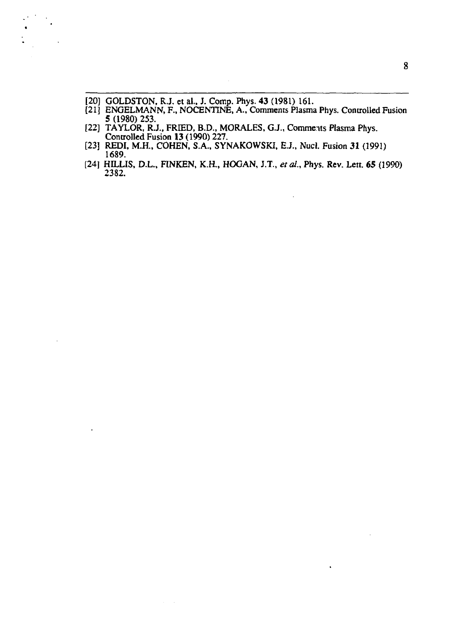- [20] GOLDSTON, R.J. et al., J. Comp. Phys. 43 (1981) 161.
- [21] ENGELMANN, F., NOCENT1NE, A., Comments Plasma Phys. Controlled Fusion 5 (1980) 253.
- [22] TAYLOR, R.J., FRED, B.D., MORALES, G.J., Comments Plasma Phys. Controlled Fusion 13 (1990) 227.
- [23] REDI, M.H., COHEN, S.A., SYNAKOWSKI, E.J., Nucl. Fusion 31 (1991) 1689.
- [24] HILLIS, D.L., FINKEN, K.H., HOGAN, J.T., *et al.,* Phys. Rev. Lett. 65 (1990) 2382.

 $\ddot{\phantom{0}}$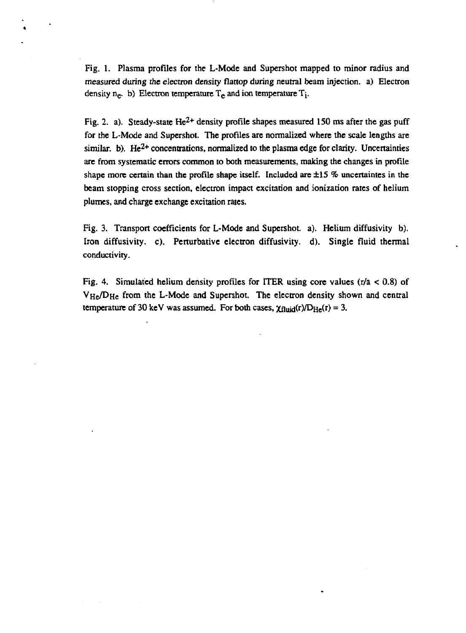**Fig. 1. Plasma profiles for the L-Mode and Supershot mapped to minor radius and measured during the electron density flattop during neutral beam injection, a) Electron density n<sup>e</sup> . b) Electron temperature T<sup>e</sup> and ion temperature Tj.** 

Fig. 2. a). Steady-state He<sup>2+</sup> density profile shapes measured 150 ms after the gas puff **for the L-Mode and Supershot. The profiles are normalized where the scale lengths are**  similar. b). He<sup>2+</sup> concentrations, normalized to the plasma edge for clarity. Uncertainties **are from systematic errors common to both measurements, making the changes in profile shape more certain than the profile shape itself. Included are ±15** *%* **uncertaintes in the beam stopping cross section, electron impact excitation and ionization rates of helium plumes, and charge exchange excitation rates.** 

**Fig. 3. Transport coefficients for L-Mode and Supershot. a). Helium diffusivity b). Iron diffusivity. c). Perturbative electron diffusivity. d). Single fluid thermal conductivity.** 

Fig. 4. Simulated helium density profiles for ITER using core values  $(r/a < 0.8)$  of V<sub>He</sub>/D<sub>He</sub> from the L-Mode and Supershot. The electron density shown and central **temperature of 30 keV was assumed. For both cases,**  $\chi_{\text{fluid}}(r)/D_{\text{He}}(r) = 3$ **.**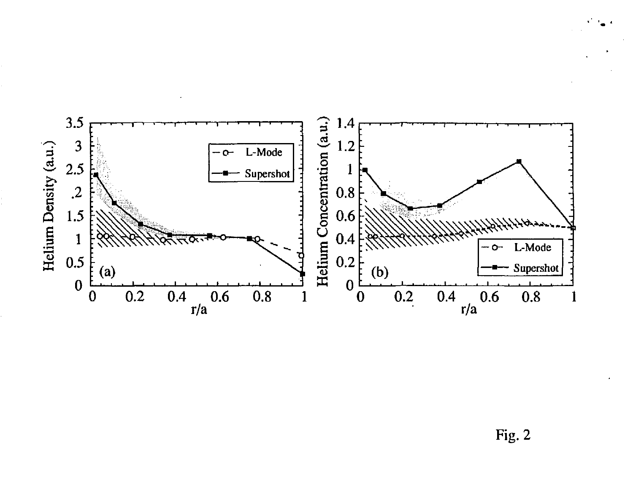